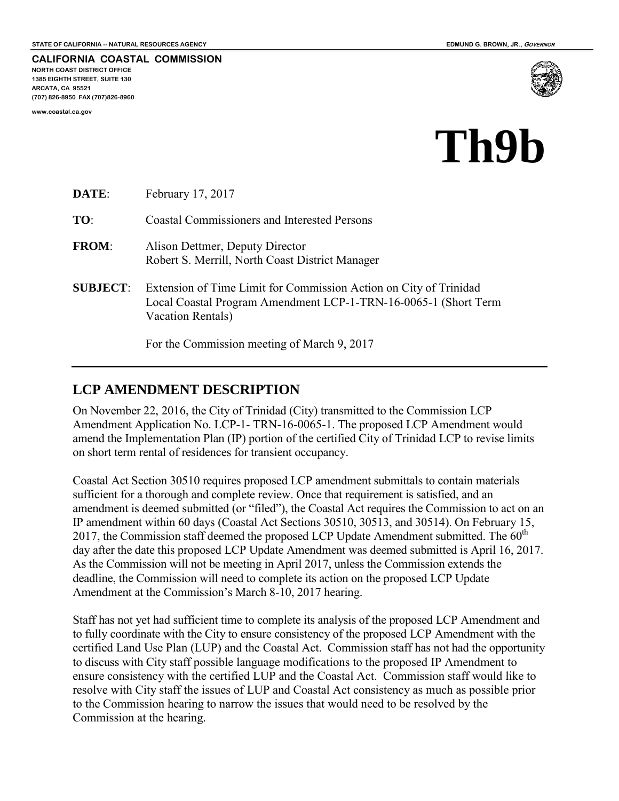**CALIFORNIA COASTAL COMMISSION NORTH COAST DISTRICT OFFICE 1385 EIGHTH STREET, SUITE 130 ARCATA, CA 95521 (707) 826-8950 FAX (707)826-8960** 

**www.coastal.ca.gov** 



# **Th9b**

| DATE:           | February 17, 2017                                                                                                                                         |
|-----------------|-----------------------------------------------------------------------------------------------------------------------------------------------------------|
| TO:             | <b>Coastal Commissioners and Interested Persons</b>                                                                                                       |
| <b>FROM:</b>    | Alison Dettmer, Deputy Director<br>Robert S. Merrill, North Coast District Manager                                                                        |
| <b>SUBJECT:</b> | Extension of Time Limit for Commission Action on City of Trinidad<br>Local Coastal Program Amendment LCP-1-TRN-16-0065-1 (Short Term<br>Vacation Rentals) |
|                 | For the Commission meeting of March 9, 2017                                                                                                               |

### **LCP AMENDMENT DESCRIPTION**

On November 22, 2016, the City of Trinidad (City) transmitted to the Commission LCP Amendment Application No. LCP-1- TRN-16-0065-1. The proposed LCP Amendment would amend the Implementation Plan (IP) portion of the certified City of Trinidad LCP to revise limits on short term rental of residences for transient occupancy.

Coastal Act Section 30510 requires proposed LCP amendment submittals to contain materials sufficient for a thorough and complete review. Once that requirement is satisfied, and an amendment is deemed submitted (or "filed"), the Coastal Act requires the Commission to act on an IP amendment within 60 days (Coastal Act Sections 30510, 30513, and 30514). On February 15, 2017, the Commission staff deemed the proposed LCP Update Amendment submitted. The  $60<sup>th</sup>$ day after the date this proposed LCP Update Amendment was deemed submitted is April 16, 2017. As the Commission will not be meeting in April 2017, unless the Commission extends the deadline, the Commission will need to complete its action on the proposed LCP Update Amendment at the Commission's March 8-10, 2017 hearing.

Staff has not yet had sufficient time to complete its analysis of the proposed LCP Amendment and to fully coordinate with the City to ensure consistency of the proposed LCP Amendment with the certified Land Use Plan (LUP) and the Coastal Act. Commission staff has not had the opportunity to discuss with City staff possible language modifications to the proposed IP Amendment to ensure consistency with the certified LUP and the Coastal Act. Commission staff would like to resolve with City staff the issues of LUP and Coastal Act consistency as much as possible prior to the Commission hearing to narrow the issues that would need to be resolved by the Commission at the hearing.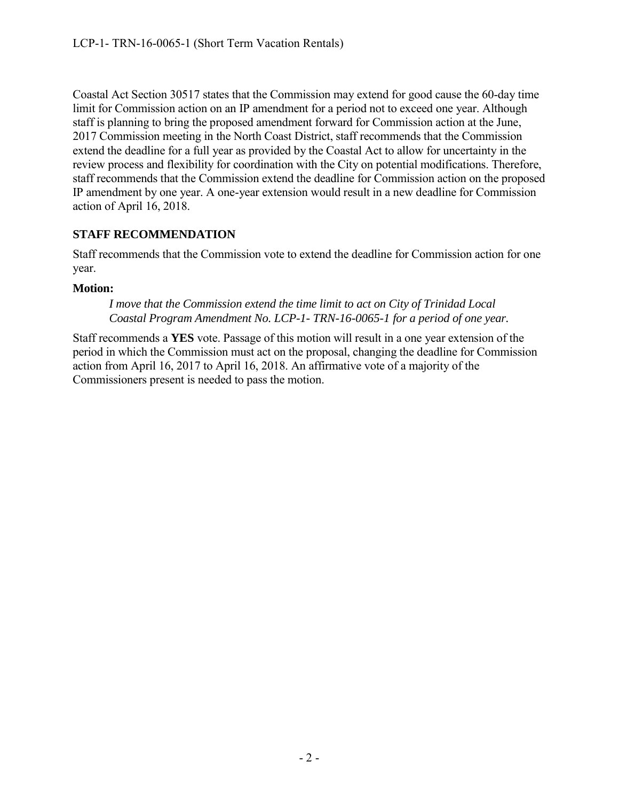Coastal Act Section 30517 states that the Commission may extend for good cause the 60-day time limit for Commission action on an IP amendment for a period not to exceed one year. Although staff is planning to bring the proposed amendment forward for Commission action at the June, 2017 Commission meeting in the North Coast District, staff recommends that the Commission extend the deadline for a full year as provided by the Coastal Act to allow for uncertainty in the review process and flexibility for coordination with the City on potential modifications. Therefore, staff recommends that the Commission extend the deadline for Commission action on the proposed IP amendment by one year. A one-year extension would result in a new deadline for Commission action of April 16, 2018.

### **STAFF RECOMMENDATION**

Staff recommends that the Commission vote to extend the deadline for Commission action for one year.

#### **Motion:**

*I move that the Commission extend the time limit to act on City of Trinidad Local Coastal Program Amendment No. LCP-1- TRN-16-0065-1 for a period of one year.* 

Staff recommends a **YES** vote. Passage of this motion will result in a one year extension of the period in which the Commission must act on the proposal, changing the deadline for Commission action from April 16, 2017 to April 16, 2018. An affirmative vote of a majority of the Commissioners present is needed to pass the motion.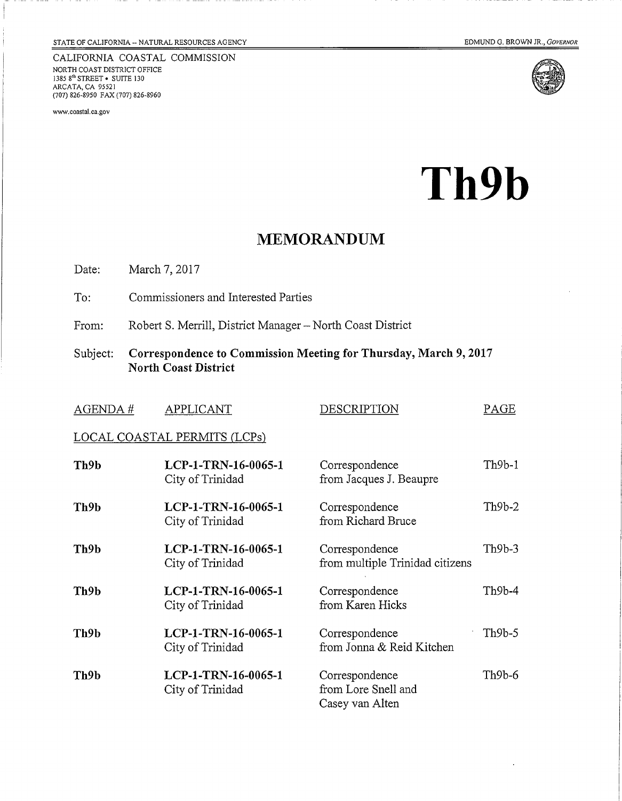CALIFORNIA COASTAL COMMISSION NORTH COAST DISTRICT OFFICE 1385 8<sup>th</sup> STREET • SUITE 130<br>ARCATA, CA 95521<br>(707) 826-8950 FAX (707) 826-8960

www.coastal.ca.gov





Th9b

### **MEMORANDUM**

Date: March 7, 2017

- To: Commissioners and Interested Parties
- Robert S. Merrill, District Manager North Coast District From:
- Subject: Correspondence to Commission Meeting for Thursday, March 9, 2017 **North Coast District**

| AGENDA#                      | <b>APPLICANT</b>                        | DESCRIPTION                                              | PAGE     |  |
|------------------------------|-----------------------------------------|----------------------------------------------------------|----------|--|
| LOCAL COASTAL PERMITS (LCPs) |                                         |                                                          |          |  |
| Th <sub>9b</sub>             | LCP-1-TRN-16-0065-1<br>City of Trinidad | Correspondence<br>from Jacques J. Beaupre                | Th9b-1   |  |
| Th9b                         | LCP-1-TRN-16-0065-1<br>City of Trinidad | Correspondence<br>from Richard Bruce                     | $Th9b-2$ |  |
| Th9b                         | LCP-1-TRN-16-0065-1<br>City of Trinidad | Correspondence<br>from multiple Trinidad citizens        | $Th9b-3$ |  |
| Th <sub>9</sub> b            | LCP-1-TRN-16-0065-1<br>City of Trinidad | Correspondence<br>from Karen Hicks                       | Th9b-4   |  |
| Th9b                         | LCP-1-TRN-16-0065-1<br>City of Trinidad | Correspondence<br>from Jonna & Reid Kitchen              | $Th9b-5$ |  |
| Th9b                         | LCP-1-TRN-16-0065-1<br>City of Trinidad | Correspondence<br>from Lore Snell and<br>Casey van Alten | $Th9b-6$ |  |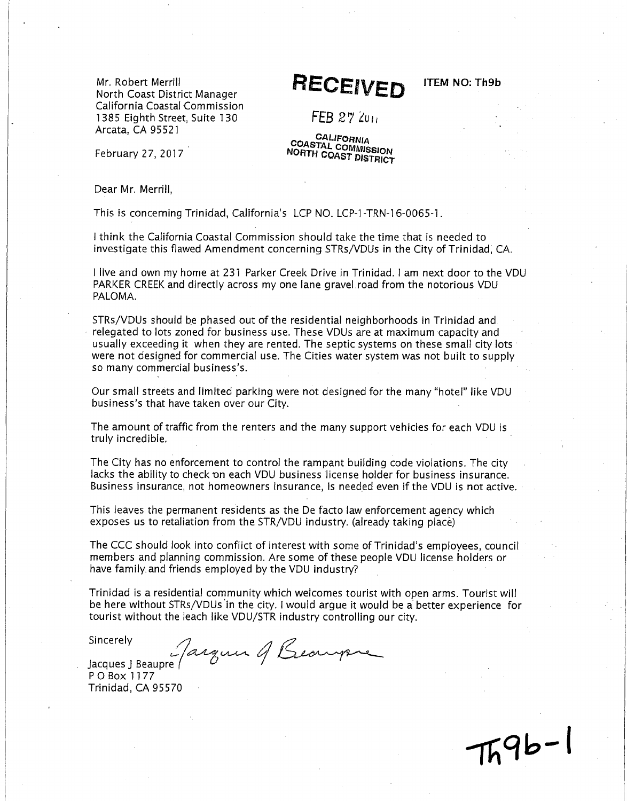Mr. Robert Merrill North Coast District Manager California Coastal Commission 1385 Eiahth Street, Suite 130 Arcata, CA 95521

### **RECEIVED**

**ITEM NO: Th9b** 

 $FER 27$   $200$ 

**CALIFORNIA** COASTAL COMMISSION NORTH COAST DISTRICT

February 27, 2017

Dear Mr. Merrill.

This is concerning Trinidad, California's LCP NO. LCP-1-TRN-16-0065-1.

I think the California Coastal Commission should take the time that is needed to investigate this flawed Amendment concerning STRs/VDUs in the City of Trinidad, CA.

l live and own my home at 231 Parker Creek Drive in Trinidad. I am next door to the VDU PARKER CREEK and directly across my one lane gravel road from the notorious VDU PALOMA.

STRs/VDUs should be phased out of the residential neighborhoods in Trinidad and relegated to lots zoned for business use. These VDUs are at maximum capacity and usually exceeding it when they are rented. The septic systems on these small city lots were not designed for commercial use. The Cities water system was not built to supply so many commercial business's.

Our small streets and limited parking were not designed for the many "hotel" like VDU business's that have taken over our City.

The amount of traffic from the renters and the many support vehicles for each VDU is truly incredible.

The City has no enforcement to control the rampant building code violations. The city lacks the ability to check on each VDU business license holder for business insurance. Business insurance, not homeowners insurance, is needed even if the VDU is not active.

This leaves the permanent residents as the De facto law enforcement agency which exposes us to retaliation from the STR/VDU industry. (already taking place)

The CCC should look into conflict of interest with some of Trinidad's employees, council members and planning commission. Are some of these people VDU license holders or have family and friends employed by the VDU industry?

Trinidad is a residential community which welcomes tourist with open arms. Tourist will be here without STRs/VDUs in the city. I would argue it would be a better experience for tourist without the leach like VDU/STR industry controlling our city.

Sincerely

Jarguer of Beaupre

Jacques J Beaupre PO Box 1177 Trinidad, CA 95570

 $79b - 1$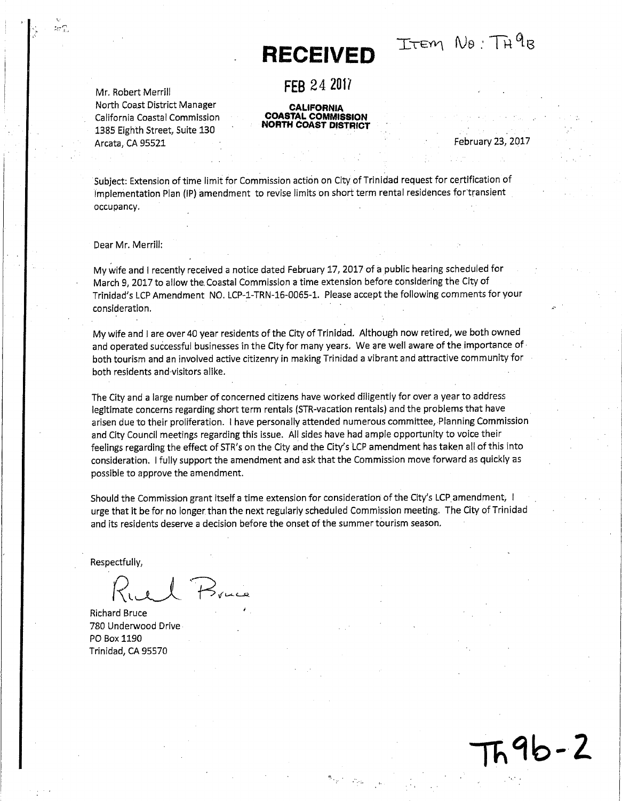## **RECEIVED**

ITEM NO: TH<sup>9</sup>R

FFR 24 2017

### **CALIFORNIA**<br>COASTAL COMMISSION **NORTH COAST DISTRICT**

February 23, 2017

596-2

Subject: Extension of time limit for Commission action on City of Trinidad request for certification of Implementation Plan (IP) amendment to revise limits on short term rental residences for transient occupancy.

Dear Mr. Merrill:

Mr. Robert Merrill

Arcata, CA 95521

North Coast District Manager

California Coastal Commission

1385 Eighth Street, Suite 130

My wife and I recently received a notice dated February 17, 2017 of a public hearing scheduled for March 9. 2017 to allow the Coastal Commission a time extension before considering the City of Trinidad's LCP Amendment NO. LCP-1-TRN-16-0065-1. Please accept the following comments for your consideration.

My wife and I are over 40 year residents of the City of Trinidad. Although now retired, we both owned and operated successful businesses in the City for many years. We are well aware of the importance of both tourism and an involved active citizenry in making Trinidad a vibrant and attractive community for both residents and visitors alike.

The City and a large number of concerned citizens have worked diligently for over a year to address legitimate concerns regarding short term rentals (STR-vacation rentals) and the problems that have arisen due to their proliferation. I have personally attended numerous committee, Planning Commission and City Council meetings regarding this issue. All sides have had ample opportunity to voice their feelings regarding the effect of STR's on the City and the City's LCP amendment has taken all of this into consideration. I fully support the amendment and ask that the Commission move forward as quickly as possible to approve the amendment.

Should the Commission grant itself a time extension for consideration of the City's LCP amendment, I urge that it be for no longer than the next regularly scheduled Commission meeting. The City of Trinidad and its residents deserve a decision before the onset of the summer tourism season.

Respectfully,

**Richard Bruce** 780 Underwood Drive PO Box 1190 Trinidad, CA 95570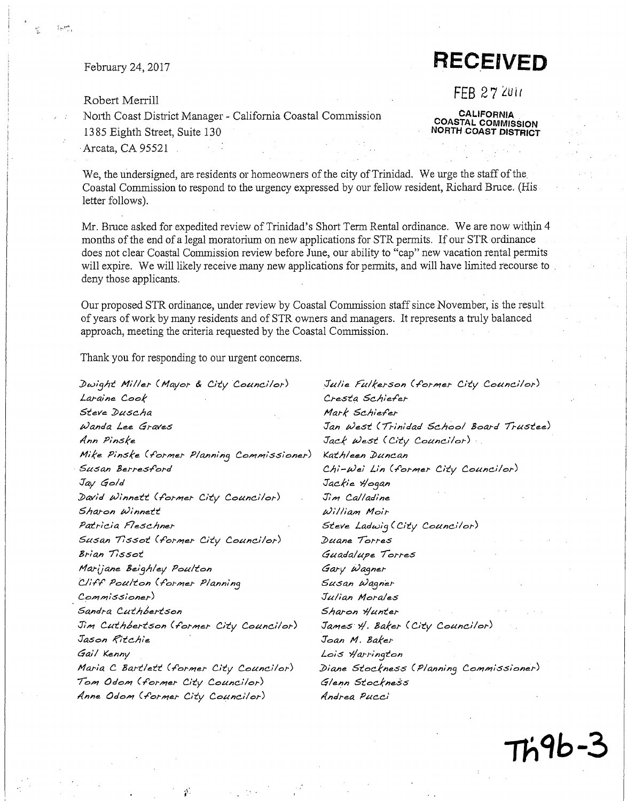February 24, 2017

#### Robert Merrill

#### North Coast District Manager - California Coastal Commission

1385 Eighth Street, Suite 130

**CALIFORNIA COASTAL COMMISSION NORTH COAST DISTRICT** 

**RECEIVED** 

**FEB 27 2011** 

Arcata, CA 95521

We, the undersigned, are residents or homeowners of the city of Trinidad. We urge the staff of the Coastal Commission to respond to the urgency expressed by our fellow resident, Richard Bruce. (His letter follows).

Mr. Bruce asked for expedited review of Trinidad's Short Term Rental ordinance. We are now within 4 months of the end of a legal moratorium on new applications for STR permits. If our STR ordinance does not clear Coastal Commission review before June, our ability to "cap" new vacation rental permits will expire. We will likely receive many new applications for permits, and will have limited recourse to deny those applicants.

Our proposed STR ordinance, under review by Coastal Commission staff since November, is the result. of years of work by many residents and of STR owners and managers. It represents a truly balanced approach, meeting the criteria requested by the Coastal Commission.

Thank you for responding to our urgent concerns.

Dwight Miller (Mayor & City Councilor) Laraine Cook Steve Duscha Wanda Lee Graves Ann Pinske Mike Pinske (former Planning Commissioner) Susan Berresford Jay Gold David Winnett (former City Councilor) Sharon Winnett Patricia Fleschner Susan Tissot (former City Councilor) Brian Tissot Marijane Beighley Poulton Cliff Poulton (former Planning  $Commonissinner)$ Sandra Cuthbertson Jim Cuthbertson (former City Councilor) Jason Ritchie Gail Kenny Maria C Bartlett (former City Councilor) Tom Odom (former City Councilor) Anne Odom (former City Councilor)

Ą.

Julie Fulkerson (former City Councilor) Cresta Schiefer Mark Schiefer Jan West (Trinidad School Board Trustee) Jack West (City Councilor) Kathleen Duncan Chi-Wei Lin (former City Councilor) Jackie Hogan Jim Calladine William Moir Steve Ladwig (City Councilor) Duane Torres Guadalupe Torres Gary Wagner Susan Wagner Julian Morales Sharon Hunter James H. Baker (City Councilor) Joan M. Baker Lois Harrington Diane Stockness (Planning Commissioner) Glenn Stockness Andrea Pucci

Th9b-3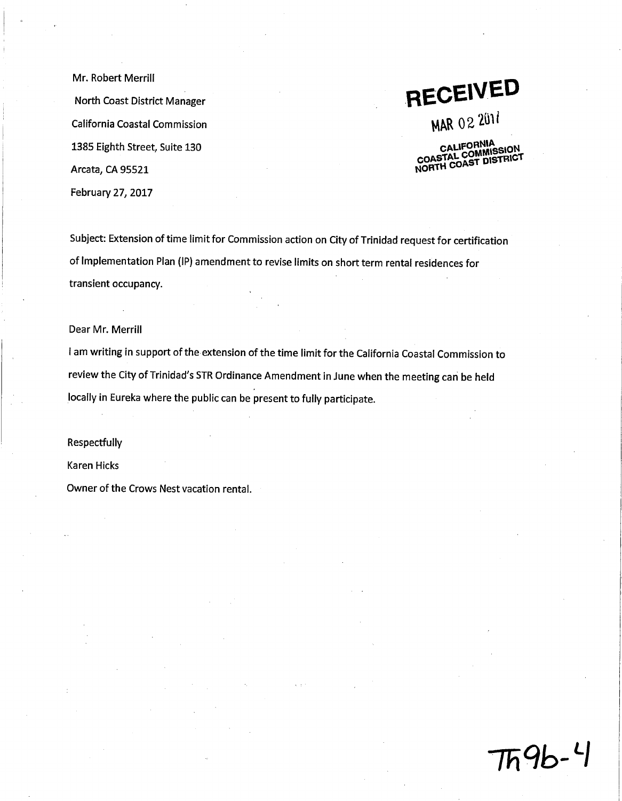Mr. Robert Merrill North Coast District Manager California Coastal Commission 1385 Eighth Street, Suite 130 Arcata, CA 95521 February 27, 2017

**RECEIVED** 

MAR 02 2011

CALIFORNIA<br>COASTAL COMMISSION NORTH COAST DISTRICT

Subject: Extension of time limit for Commission action on City of Trinidad request for certification of Implementation Plan (IP) amendment to revise limits on short term rental residences for transient occupancy.

Dear Mr. Merrill

I am writing in support of the extension of the time limit for the California Coastal Commission to review the City of Trinidad's STR Ordinance Amendment in June when the meeting can be held locally in Eureka where the public can be present to fully participate.

Respectfully

**Karen Hicks** 

Owner of the Crows Nest vacation rental.

 $Tn9b-4$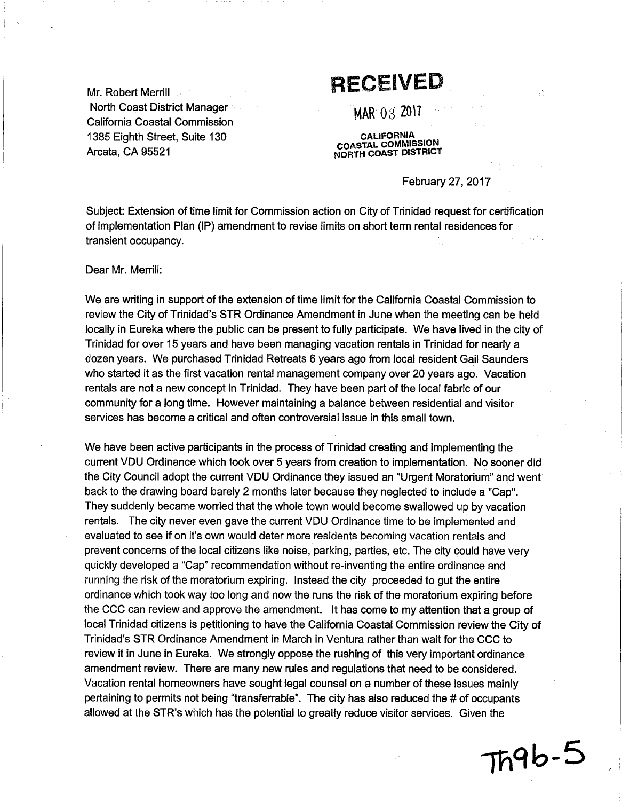Mr. Robert Merrill North Coast District Manager **California Coastal Commission** 1385 Eighth Street, Suite 130 Arcata, CA 95521

## **RECEIVED**

MAR 03 2017

**CALIFORNIA**<br>COASTAL COMMISSION NORTH COAST DISTRICT

February 27, 2017

Subject: Extension of time limit for Commission action on City of Trinidad request for certification of Implementation Plan (IP) amendment to revise limits on short term rental residences for transient occupancy.

Dear Mr. Merrill:

We are writing in support of the extension of time limit for the California Coastal Commission to review the City of Trinidad's STR Ordinance Amendment in June when the meeting can be held locally in Eureka where the public can be present to fully participate. We have lived in the city of Trinidad for over 15 years and have been managing vacation rentals in Trinidad for nearly a dozen years. We purchased Trinidad Retreats 6 years ago from local resident Gail Saunders who started it as the first vacation rental management company over 20 years ago. Vacation rentals are not a new concept in Trinidad. They have been part of the local fabric of our community for a long time. However maintaining a balance between residential and visitor services has become a critical and often controversial issue in this small town.

We have been active participants in the process of Trinidad creating and implementing the current VDU Ordinance which took over 5 years from creation to implementation. No sooner did the City Council adopt the current VDU Ordinance they issued an "Urgent Moratorium" and went back to the drawing board barely 2 months later because they neglected to include a "Cap". They suddenly became worried that the whole town would become swallowed up by vacation rentals. The city never even gave the current VDU Ordinance time to be implemented and evaluated to see if on it's own would deter more residents becoming vacation rentals and prevent concerns of the local citizens like noise, parking, parties, etc. The city could have very quickly developed a "Cap" recommendation without re-inventing the entire ordinance and running the risk of the moratorium expiring. Instead the city proceeded to gut the entire ordinance which took way too long and now the runs the risk of the moratorium expiring before the CCC can review and approve the amendment. It has come to my attention that a group of local Trinidad citizens is petitioning to have the California Coastal Commission review the City of Trinidad's STR Ordinance Amendment in March in Ventura rather than wait for the CCC to review it in June in Eureka. We strongly oppose the rushing of this very important ordinance amendment review. There are many new rules and regulations that need to be considered. Vacation rental homeowners have sought legal counsel on a number of these issues mainly pertaining to permits not being "transferrable". The city has also reduced the # of occupants allowed at the STR's which has the potential to greatly reduce visitor services. Given the

 $Th9b-5$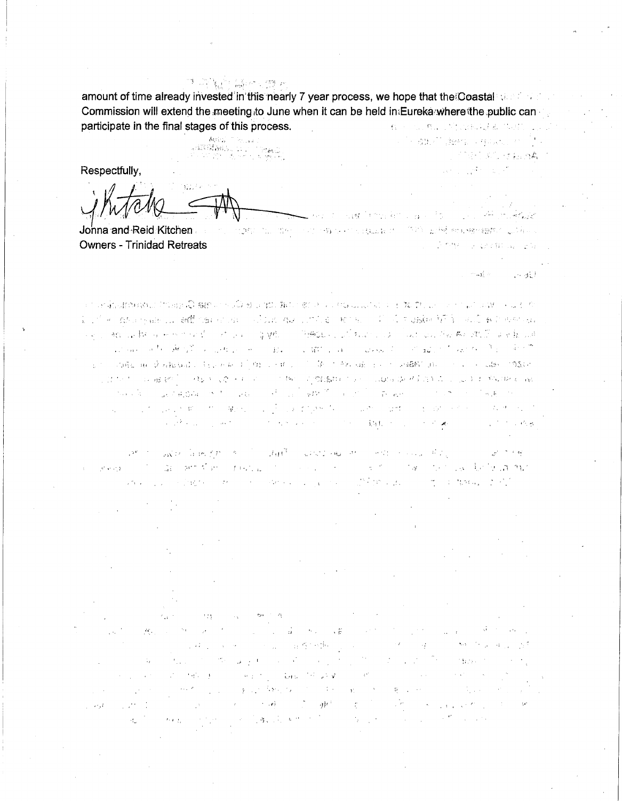amount of time already invested in this nearly 7 year process, we hope that the Coastal services of Commission will extend the meeting to June when it can be held in Eureka where the public can participate in the final stages of this process. the Charles of the state of the state of the state of the  $\mathbf{C}_k$  ,  $\mathbf{C}_k$ 

**可以通知所以继续可以得以同意的** 

of the second company of the second of the second company

 $\label{eq:2.1} \frac{1}{2\sqrt{2}}\left(\frac{1}{2}\right)^2\left(\frac{1}{2}\right)^2\left(\frac{1}{2}\right)^2\left(\frac{1}{2}\right)^2\left(\frac{1}{2}\right)^2\left(\frac{1}{2}\right)^2.$ 

ور اول

∵ aCl

**CRECK COMMA** 

Anioc

医鸣属叶 急行 放头

Respectfully,

The control of the control of the control of the state of the state of the state of the state of the state of the state of the state of the state of the state of the state of the state of the state of the state of the stat Johna and Reid Kitchen **Owners - Trinidad Retreats Contractor** 

ានការពិត្រិតនៅក្នុងព្រះបាទស្រុ<mark>ះជិតន</mark>្ទះបានបង្កើតទី១ ខ្លួន រូបនេះ មាន បានបានប្រាសាទ និង ជាប្រកាសការណ៍ នាងការ បានប្រ มันที่สถานีที่อย่างและเป็นเพื่อใช้เป็นความการเป็นอย่างแต่ไม่เป็นเป็นอย่างอย่างเป็นเป็นเพื่อให้เป็นความเป็นความ  $\sim_{\rm N}$  and the first construction of  $\sim_{\rm N}$  and  $\sim_{\rm N}$  . There is a construction of the first particle of  $\sim$ 的复数人名费尔斯特罗 的复数医学的 一般的 医腹膜炎 计二元 2000年 10月 12日 12日 12日 12日 12日 - CORAL BE DEARBOARD (FELTIMATION) DEARBOARD (CORAL FELTIMARE EXTERNARISM) - CORAL CORAL CORAL CORAL 1. 法受害 ( ) a ad info ( ) discovery of the composition of the composition of the composition of the component of  $\langle \cos \phi \vert \hat{u} \rangle = \langle \phi \vert \hat{u} \rangle \hat{u} \langle \hat{u} \rangle \langle \hat{u} \rangle = \langle \hat{u} \vert \hat{u} \rangle = \langle \hat{u} \hat{u} \rangle = \langle \hat{u} \hat{u} \rangle \langle \hat{u} \rangle \langle \hat{u} \rangle \langle \hat{u} \rangle = \langle \hat{u} \vert \hat{u} \rangle$  $\label{eq:3.1} \frac{1}{\sqrt{2}}\sum_{i=1}^{\infty}\frac{1}{\sqrt{2}}\sum_{i=1}^{\infty}\frac{1}{\sqrt{2}}\sum_{i=1}^{\infty}\frac{1}{\sqrt{2}}\sum_{i=1}^{\infty}\frac{1}{\sqrt{2}}\sum_{i=1}^{\infty}\frac{1}{\sqrt{2}}\sum_{i=1}^{\infty}\frac{1}{\sqrt{2}}\sum_{i=1}^{\infty}\frac{1}{\sqrt{2}}\sum_{i=1}^{\infty}\frac{1}{\sqrt{2}}\sum_{i=1}^{\infty}\frac{1}{\sqrt{2}}\sum_{i=1}^{\infty}\$ and the control of the world in the complete the condition of the control of the control of the control of a formal power of the company of the state of the state of the state of the

The company is become the start of the contribution of the company of the liga em Camillanda, como esta el seu contra considerada para  $\label{eq:3.1} g^2\left(\phi,\phi\right)g^2=\left(\begin{array}{cc} 1 & 0 & 0 \\ 0 & 0 & 0 \end{array}\right).$ and the state of the second and the state of the state of the state of the

 $\lambda$  and (2) 上海 (1) 在一个人的复数 (1) 经有限公司的 (1) 上海 (1) 这个人 2002年1月10日, 1990年4月1日, 1990年4月 State of Car وبالتي فكالتعملات المتع  $\langle \cdot | \cdot \rangle$ the first product of the company  $\mathcal{L} = \{ \mathcal{L} \in \mathcal{L} \}$  $\epsilon_{\rm max}$ **Contained** Control of the control of the control of the Control of the Control of the Control of the Control of the Control of the Control of the Control of the Control of the Control of the Control of the Control of the Control of t  $\sim 10^{10}$   $\sim$  $\chi^2_{\rm L} = -\lambda$  . **Committee** 的复数人名英法尔 有格尔族  $\mathcal{G}^{\mathcal{G}}$  , where  $\mathcal{G}^{\mathcal{G}}$  is a set of  $\mathcal{G}^{\mathcal{G}}$  $\mathcal{L}^{\text{max}}_{\text{max}}$  , where  $\mathcal{L}^{\text{max}}_{\text{max}}$ (1) 不可以说明, (1) (2) (4) (1) (4) (1) (2) (3) (4) (4) (4) (4) (4)  $\sim 10^6$ 经合同的 的复数法国国际货币 in type of  $\sim 10^{11}$  and  $\sim 10^{11}$